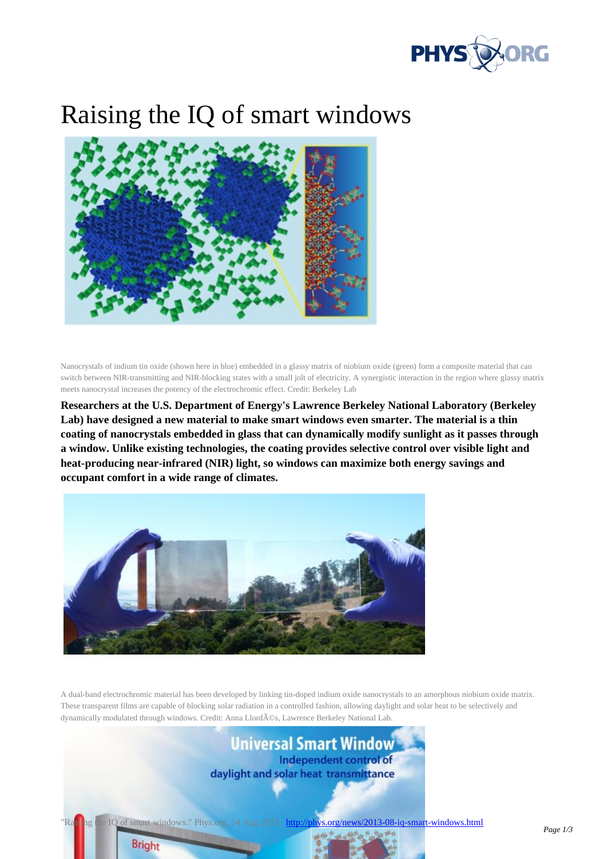

## Raising the IQ of smart window[s](http://phys.org/)



Nanocrystals of indium tin oxide (shown here in blue) embedded in a glassy matrix of niobium oxide (green) form a composite material that can switch between NIR-transmitting and NIR-blocking states with a small jolt of electricity. A synergistic interaction in the region where glassy matrix meets nanocrystal increases the potency of the electrochromic effect. Credit: Berkeley Lab

**Researchers at the U.S. Department of Energy's Lawrence Berkeley National Laboratory (Berkeley Lab) have designed a new material to make smart windows even smarter. The material is a thin coating of nanocrystals embedded in glass that can dynamically modify sunlight as it passes through a window. Unlike existing technologies, the coating provides selective control over visible light and heat-producing near-infrared (NIR) light, so windows can maximize both energy savings and occupant comfort in a wide range of climates.**



A dual-band electrochromic material has been developed by linking tin-doped indium oxide nanocrystals to an amorphous niobium oxide matrix. These transparent films are capable of blocking solar radiation in a controlled fashion, allowing daylight and solar heat to be selectively and dynamically modulated through windows. Credit: Anna Llordés, Lawrence Berkeley National Lab.

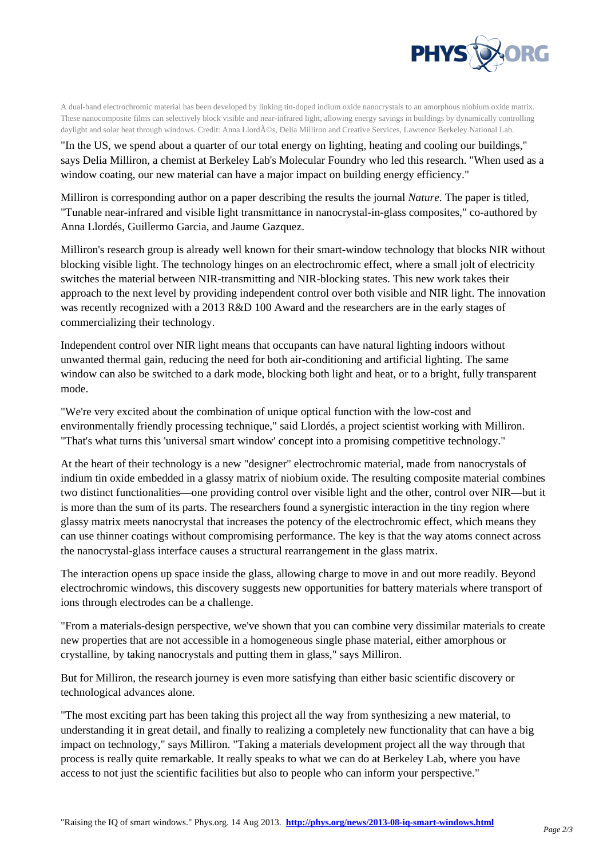

A dual-band electrochromic material has been developed by linking tin-doped indium oxide nanocrystals [to an amorphous niobium oxide matrix.](http://phys.org/) These nanocomposite films can selectively block visible and near-infrared light, allowing energy savings in buildings by dynamically controlling daylight and solar heat through windows. Credit: Anna Llordés, Delia Milliron and Creative Services, Lawrence Berkeley National Lab.

"In the US, we spend about a quarter of our total energy on lighting, heating and cooling our buildings," says Delia Milliron, a chemist at Berkeley Lab's Molecular Foundry who led this research. "When used as a window coating, our new material can have a major impact on building energy efficiency."

Milliron is corresponding author on a paper describing the results the journal *Nature*. The paper is titled, "Tunable near-infrared and visible light transmittance in nanocrystal-in-glass composites," co-authored by Anna Llordés, Guillermo Garcia, and Jaume Gazquez.

Milliron's research group is already well known for their smart-window technology that blocks NIR without blocking visible light. The technology hinges on an electrochromic effect, where a small jolt of electricity switches the material between NIR-transmitting and NIR-blocking states. This new work takes their approach to the next level by providing independent control over both visible and NIR light. The innovation was recently recognized with a 2013 R&D 100 Award and the researchers are in the early stages of commercializing their technology.

Independent control over NIR light means that occupants can have natural lighting indoors without unwanted thermal gain, reducing the need for both air-conditioning and artificial lighting. The same window can also be switched to a dark mode, blocking both light and heat, or to a bright, fully transparent mode.

"We're very excited about the combination of unique optical function with the low-cost and environmentally friendly processing technique," said Llordés, a project scientist working with Milliron. "That's what turns this 'universal smart window' concept into a promising competitive technology."

At the heart of their technology is a new "designer" electrochromic material, made from nanocrystals of indium tin oxide embedded in a glassy matrix of niobium oxide. The resulting composite material combines two distinct functionalities—one providing control over visible light and the other, control over NIR—but it is more than the sum of its parts. The researchers found a synergistic interaction in the tiny region where glassy matrix meets nanocrystal that increases the potency of the electrochromic effect, which means they can use thinner coatings without compromising performance. The key is that the way atoms connect across the nanocrystal-glass interface causes a structural rearrangement in the glass matrix.

The interaction opens up space inside the glass, allowing charge to move in and out more readily. Beyond electrochromic windows, this discovery suggests new opportunities for battery materials where transport of ions through electrodes can be a challenge.

"From a materials-design perspective, we've shown that you can combine very dissimilar materials to create new properties that are not accessible in a homogeneous single phase material, either amorphous or crystalline, by taking nanocrystals and putting them in glass," says Milliron.

But for Milliron, the research journey is even more satisfying than either basic scientific discovery or technological advances alone.

"The most exciting part has been taking this project all the way from synthesizing a new material, to understanding it in great detail, and finally to realizing a completely new functionality that can have a big impact on technology," says Milliron. "Taking a materials development project all the way through that process is really quite remarkable. It really speaks to what we can do at Berkeley Lab, where you have access to not just the scientific facilities but also to people who can inform your perspective."